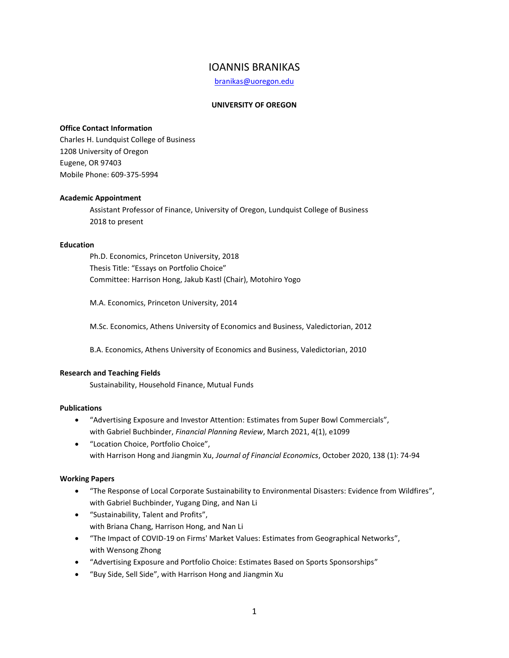# IOANNIS BRANIKAS

[branikas@uoregon.edu](mailto:branikas@uoregon.edu)

# **UNIVERSITY OF OREGON**

# **Office Contact Information**

Charles H. Lundquist College of Business 1208 University of Oregon Eugene, OR 97403 Mobile Phone: 609-375-5994

### **Academic Appointment**

Assistant Professor of Finance, University of Oregon, Lundquist College of Business 2018 to present

### **Education**

Ph.D. Economics, Princeton University, 2018 Thesis Title: "Essays on Portfolio Choice" Committee: Harrison Hong, Jakub Kastl (Chair), Motohiro Yogo

M.A. Economics, Princeton University, 2014

M.Sc. Economics, Athens University of Economics and Business, Valedictorian, 2012

B.A. Economics, Athens University of Economics and Business, Valedictorian, 2010

#### **Research and Teaching Fields**

Sustainability, Household Finance, Mutual Funds

#### **Publications**

- "Advertising Exposure and Investor Attention: Estimates from Super Bowl Commercials", with Gabriel Buchbinder, *Financial Planning Review*, March 2021, 4(1), e1099
- "Location Choice, Portfolio Choice", with Harrison Hong and Jiangmin Xu, *Journal of Financial Economics*, October 2020, 138 (1): 74-94

### **Working Papers**

- "The Response of Local Corporate Sustainability to Environmental Disasters: Evidence from Wildfires", with Gabriel Buchbinder, Yugang Ding, and Nan Li
- "Sustainability, Talent and Profits", with Briana Chang, Harrison Hong, and Nan Li
- "The Impact of COVID-19 on Firms' Market Values: Estimates from Geographical Networks", with Wensong Zhong
- "Advertising Exposure and Portfolio Choice: Estimates Based on Sports Sponsorships"
- "Buy Side, Sell Side", with Harrison Hong and Jiangmin Xu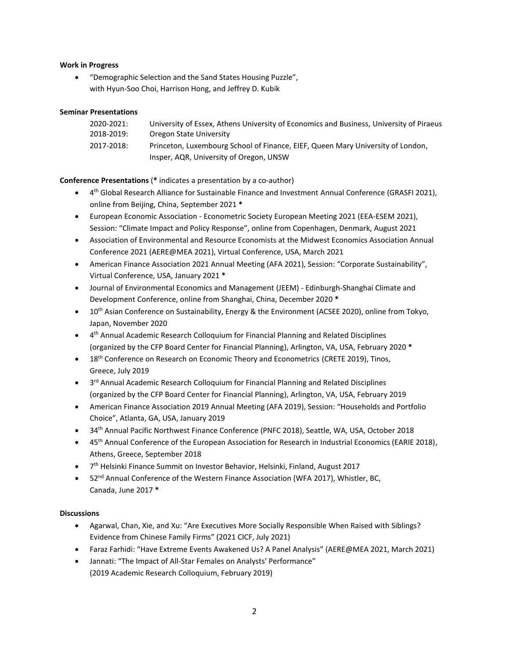### **Work in Progress**

• "Demographic Selection and the Sand States Housing Puzzle", with Hyun-Soo Choi, Harrison Hong, and Jeffrey D. Kubik

### **Seminar Presentations**

| 2020-2021: | University of Essex, Athens University of Economics and Business, University of Piraeus |
|------------|-----------------------------------------------------------------------------------------|
| 2018-2019: | Oregon State University                                                                 |
| 2017-2018: | Princeton, Luxembourg School of Finance, EIEF, Queen Mary University of London,         |
|            | Insper, AQR, University of Oregon, UNSW                                                 |

## **Conference Presentations** (**\*** indicates a presentation by a co-author)

- 4<sup>th</sup> Global Research Alliance for Sustainable Finance and Investment Annual Conference (GRASFI 2021), online from Beijing, China, September 2021 **\***
- European Economic Association Econometric Society European Meeting 2021 (EEA-ESEM 2021), Session: "Climate Impact and Policy Response", online from Copenhagen, Denmark, August 2021
- Association of Environmental and Resource Economists at the Midwest Economics Association Annual Conference 2021 (AERE@MEA 2021), Virtual Conference, USA, March 2021
- American Finance Association 2021 Annual Meeting (AFA 2021), Session: "Corporate Sustainability", Virtual Conference, USA, January 2021 **\***
- Journal of Environmental Economics and Management (JEEM) Edinburgh-Shanghai Climate and Development Conference, online from Shanghai, China, December 2020 **\***
- $\bullet$  10<sup>th</sup> Asian Conference on Sustainability, Energy & the Environment (ACSEE 2020), online from Tokyo, Japan, November 2020
- 4 th Annual Academic Research Colloquium for Financial Planning and Related Disciplines (organized by the CFP Board Center for Financial Planning), Arlington, VA, USA, February 2020 **\***
- 18<sup>th</sup> Conference on Research on Economic Theory and Econometrics (CRETE 2019), Tinos, Greece, July 2019
- 3<sup>rd</sup> Annual Academic Research Colloquium for Financial Planning and Related Disciplines (organized by the CFP Board Center for Financial Planning), Arlington, VA, USA, February 2019
- American Finance Association 2019 Annual Meeting (AFA 2019), Session: "Households and Portfolio Choice", Atlanta, GA, USA, January 2019
- 34th Annual Pacific Northwest Finance Conference (PNFC 2018), Seattle, WA, USA, October 2018
- 45<sup>th</sup> Annual Conference of the European Association for Research in Industrial Economics (EARIE 2018), Athens, Greece, September 2018
- 7<sup>th</sup> Helsinki Finance Summit on Investor Behavior, Helsinki, Finland, August 2017
- 52<sup>nd</sup> Annual Conference of the Western Finance Association (WFA 2017), Whistler, BC, Canada, June 2017 **\***

#### **Discussions**

- Agarwal, Chan, Xie, and Xu: "Are Executives More Socially Responsible When Raised with Siblings? Evidence from Chinese Family Firms" (2021 CICF, July 2021)
- Faraz Farhidi: "Have Extreme Events Awakened Us? A Panel Analysis" (AERE@MEA 2021, March 2021)
- Jannati: "The Impact of All-Star Females on Analysts' Performance" (2019 Academic Research Colloquium, February 2019)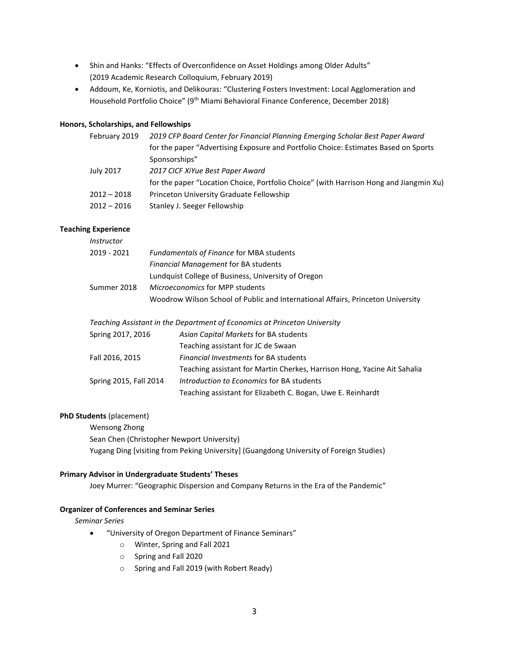- Shin and Hanks: "Effects of Overconfidence on Asset Holdings among Older Adults" (2019 Academic Research Colloquium, February 2019)
- Addoum, Ke, Korniotis, and Delikouras: "Clustering Fosters Investment: Local Agglomeration and Household Portfolio Choice" (9th Miami Behavioral Finance Conference, December 2018)

#### **Honors, Scholarships, and Fellowships**

| February 2019 | 2019 CFP Board Center for Financial Planning Emerging Scholar Best Paper Award         |  |
|---------------|----------------------------------------------------------------------------------------|--|
|               | for the paper "Advertising Exposure and Portfolio Choice: Estimates Based on Sports    |  |
|               | Sponsorships"                                                                          |  |
| July 2017     | 2017 CICF XiYue Best Paper Award                                                       |  |
|               | for the paper "Location Choice, Portfolio Choice" (with Harrison Hong and Jiangmin Xu) |  |
| $2012 - 2018$ | Princeton University Graduate Fellowship                                               |  |
| $2012 - 2016$ | Stanley J. Seeger Fellowship                                                           |  |
|               |                                                                                        |  |

# **Teaching Experience**

| Instructor  |                                                                                 |
|-------------|---------------------------------------------------------------------------------|
| 2019 - 2021 | <b>Fundamentals of Finance for MBA students</b>                                 |
|             | <b>Financial Management for BA students</b>                                     |
|             | Lundquist College of Business, University of Oregon                             |
| Summer 2018 | Microeconomics for MPP students                                                 |
|             | Woodrow Wilson School of Public and International Affairs, Princeton University |
|             |                                                                                 |

*Teaching Assistant in the Department of Economics at Princeton University*

| Spring 2017, 2016      | Asian Capital Markets for BA students                                    |
|------------------------|--------------------------------------------------------------------------|
|                        | Teaching assistant for JC de Swaan                                       |
| Fall 2016, 2015        | <b>Financial Investments for BA students</b>                             |
|                        | Teaching assistant for Martin Cherkes, Harrison Hong, Yacine Ait Sahalia |
| Spring 2015, Fall 2014 | Introduction to Economics for BA students                                |
|                        | Teaching assistant for Elizabeth C. Bogan, Uwe E. Reinhardt              |

### **PhD Students** (placement)

Wensong Zhong Sean Chen (Christopher Newport University) Yugang Ding [visiting from Peking University] (Guangdong University of Foreign Studies)

#### **Primary Advisor in Undergraduate Students' Theses**

Joey Murrer: "Geographic Dispersion and Company Returns in the Era of the Pandemic"

### **Organizer of Conferences and Seminar Series**

*Seminar Series*

- "University of Oregon Department of Finance Seminars"
	- o Winter, Spring and Fall 2021
		- o Spring and Fall 2020
		- o Spring and Fall 2019 (with Robert Ready)